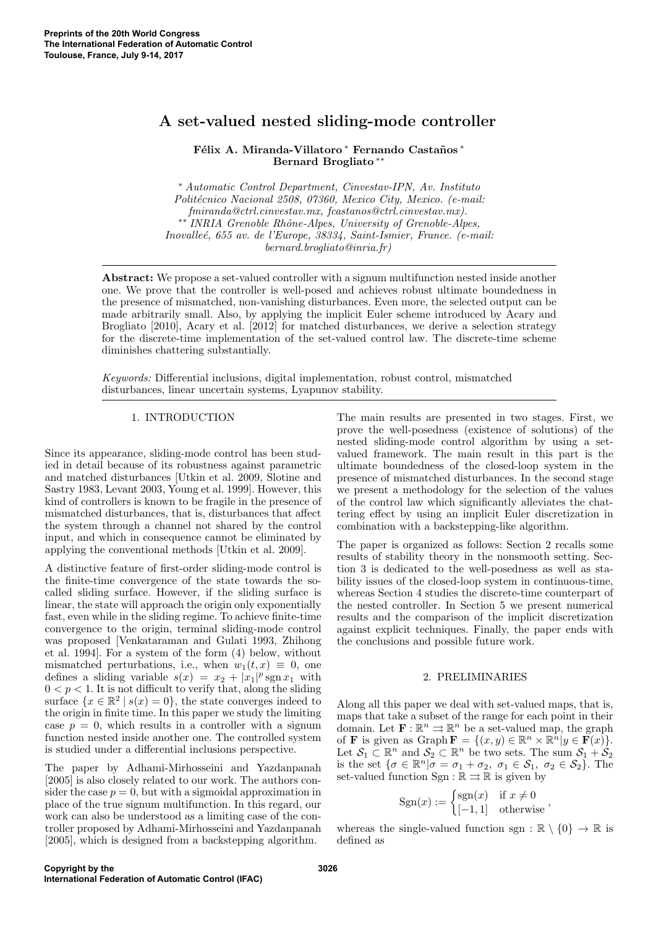# A set-valued nested sliding-mode controller

Félix A. Miranda-Villatoro ∗ Fernando Castaños \* Bernard Brogliato ∗∗

<sup>∗</sup> Automatic Control Department, Cinvestav-IPN, Av. Instituto Politécnico Nacional 2508, 07360, Mexico City, Mexico. (e-mail: fmiranda@ctrl.cinvestav.mx, fcastanos@ctrl.cinvestav.mx). ∗∗ INRIA Grenoble Rhˆone-Alpes, University of Grenoble-Alpes, Inovalleé, 655 av. de l'Europe, 38334, Saint-Ismier, France. (e-mail: bernard.brogliato@inria.fr)

Abstract: We propose a set-valued controller with a signum multifunction nested inside another one. We prove that the controller is well-posed and achieves robust ultimate boundedness in the presence of mismatched, non-vanishing disturbances. Even more, the selected output can be made arbitrarily small. Also, by applying the implicit Euler scheme introduced by Acary and Brogliato [2010], Acary et al. [2012] for matched disturbances, we derive a selection strategy for the discrete-time implementation of the set-valued control law. The discrete-time scheme diminishes chattering substantially.

Keywords: Differential inclusions, digital implementation, robust control, mismatched disturbances, linear uncertain systems, Lyapunov stability.

## 1. INTRODUCTION

Since its appearance, sliding-mode control has been studied in detail because of its robustness against parametric and matched disturbances [Utkin et al. 2009, Slotine and Sastry 1983, Levant 2003, Young et al. 1999]. However, this kind of controllers is known to be fragile in the presence of mismatched disturbances, that is, disturbances that affect the system through a channel not shared by the control input, and which in consequence cannot be eliminated by applying the conventional methods [Utkin et al. 2009].

A distinctive feature of first-order sliding-mode control is the finite-time convergence of the state towards the socalled sliding surface. However, if the sliding surface is linear, the state will approach the origin only exponentially fast, even while in the sliding regime. To achieve finite-time convergence to the origin, terminal sliding-mode control was proposed [Venkataraman and Gulati 1993, Zhihong et al. 1994]. For a system of the form (4) below, without mismatched perturbations, i.e., when  $w_1(t, x) \equiv 0$ , one defines a sliding variable  $s(x) = x_2 + |x_1|^p \operatorname{sgn} x_1$  with  $0 < p < 1$ . It is not difficult to verify that, along the sliding surface  $\{x \in \mathbb{R}^2 \mid s(x) = 0\}$ , the state converges indeed to the origin in finite time. In this paper we study the limiting case  $p = 0$ , which results in a controller with a signum function nested inside another one. The controlled system is studied under a differential inclusions perspective.

The paper by Adhami-Mirhosseini and Yazdanpanah [2005] is also closely related to our work. The authors consider the case  $p = 0$ , but with a sigmoidal approximation in place of the true signum multifunction. In this regard, our work can also be understood as a limiting case of the controller proposed by Adhami-Mirhosseini and Yazdanpanah [2005], which is designed from a backstepping algorithm.

The main results are presented in two stages. First, we prove the well-posedness (existence of solutions) of the nested sliding-mode control algorithm by using a setvalued framework. The main result in this part is the ultimate boundedness of the closed-loop system in the presence of mismatched disturbances. In the second stage we present a methodology for the selection of the values of the control law which significantly alleviates the chattering effect by using an implicit Euler discretization in combination with a backstepping-like algorithm.

The paper is organized as follows: Section 2 recalls some results of stability theory in the nonsmooth setting. Section 3 is dedicated to the well-posedness as well as stability issues of the closed-loop system in continuous-time, whereas Section 4 studies the discrete-time counterpart of the nested controller. In Section 5 we present numerical results and the comparison of the implicit discretization against explicit techniques. Finally, the paper ends with the conclusions and possible future work.

#### 2. PRELIMINARIES

Along all this paper we deal with set-valued maps, that is, maps that take a subset of the range for each point in their domain. Let  $\mathbf{F} : \mathbb{R}^n \Rightarrow \mathbb{R}^n$  be a set-valued map, the graph of **F** is given as Graph  $\mathbf{F} = \{(x, y) \in \mathbb{R}^n \times \mathbb{R}^n | y \in \mathbf{F}(x)\}.$ Let  $S_1 \subset \mathbb{R}^n$  and  $S_2 \subset \mathbb{R}^n$  be two sets. The sum  $S_1 + S_2$ is the set  $\{\sigma \in \mathbb{R}^n | \sigma = \sigma_1 + \sigma_2, \ \sigma_1 \in \mathcal{S}_1, \ \sigma_2 \in \mathcal{S}_2\}.$  The set-valued function  $\text{Sgn} : \mathbb{R} \rightrightarrows \mathbb{R}$  is given by

$$
Sgn(x) := \begin{cases} sgn(x) & \text{if } x \neq 0 \\ [-1, 1] & \text{otherwise} \end{cases},
$$

whereas the single-valued function sgn :  $\mathbb{R} \setminus \{0\} \to \mathbb{R}$  is defined as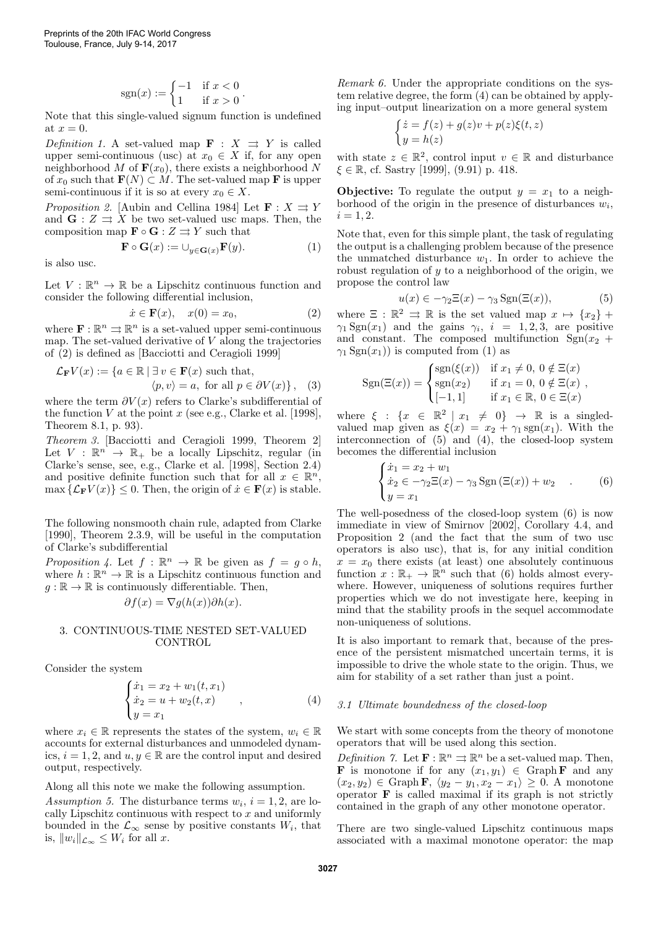$$
sgn(x) := \begin{cases} -1 & \text{if } x < 0\\ 1 & \text{if } x > 0 \end{cases}
$$

Note that this single-valued signum function is undefined at  $x = 0$ .

Definition 1. A set-valued map  $\mathbf{F} : X \implies Y$  is called upper semi-continuous (usc) at  $x_0 \in X$  if, for any open neighborhood M of  $\mathbf{F}(x_0)$ , there exists a neighborhood N of  $x_0$  such that  $\mathbf{F}(N) \subset M$ . The set-valued map F is upper semi-continuous if it is so at every  $x_0 \in X$ .

*Proposition 2.* [Aubin and Cellina 1984] Let  $\mathbf{F}: X \rightrightarrows Y$ and  $\mathbf{G}: Z \rightrightarrows X$  be two set-valued usc maps. Then, the composition map  $\mathbf{F} \circ \mathbf{G} : Z \rightrightarrows Y$  such that

$$
\mathbf{F} \circ \mathbf{G}(x) := \cup_{y \in \mathbf{G}(x)} \mathbf{F}(y). \tag{1}
$$

.

is also usc.

Let  $V : \mathbb{R}^n \to \mathbb{R}$  be a Lipschitz continuous function and consider the following differential inclusion,

$$
\dot{x} \in \mathbf{F}(x), \quad x(0) = x_0,\tag{2}
$$

where  $\mathbf{F} : \mathbb{R}^n \rightrightarrows \mathbb{R}^n$  is a set-valued upper semi-continuous map. The set-valued derivative of  $V$  along the trajectories of (2) is defined as [Bacciotti and Ceragioli 1999]

$$
\mathcal{L}_{\mathbf{F}}V(x) := \{ a \in \mathbb{R} \mid \exists v \in \mathbf{F}(x) \text{ such that,}
$$

$$
\langle p, v \rangle = a, \text{ for all } p \in \partial V(x) \}, \quad (3)
$$

where the term  $\partial V(x)$  refers to Clarke's subdifferential of the function V at the point x (see e.g., Clarke et al. [1998], Theorem 8.1, p. 93).

Theorem 3. [Bacciotti and Ceragioli 1999, Theorem 2] Let  $V : \mathbb{R}^{n} \to \mathbb{R}_{+}$  be a locally Lipschitz, regular (in Clarke's sense, see, e.g., Clarke et al. [1998], Section 2.4) and positive definite function such that for all  $x \in \mathbb{R}^n$ ,  $\max \{ \mathcal{L}_{\mathbf{F}} V(x) \} \leq 0$ . Then, the origin of  $\dot{x} \in \mathbf{F}(x)$  is stable.

The following nonsmooth chain rule, adapted from Clarke [1990], Theorem 2.3.9, will be useful in the computation of Clarke's subdifferential

Proposition 4. Let  $f : \mathbb{R}^n \to \mathbb{R}$  be given as  $f = g \circ h$ , where  $h : \mathbb{R}^n \to \mathbb{R}$  is a Lipschitz continuous function and  $g : \mathbb{R} \to \mathbb{R}$  is continuously differentiable. Then,

$$
\partial f(x) = \nabla g(h(x)) \partial h(x).
$$

#### 3. CONTINUOUS-TIME NESTED SET-VALUED CONTROL

Consider the system

$$
\begin{cases}\n\dot{x}_1 = x_2 + w_1(t, x_1) \\
\dot{x}_2 = u + w_2(t, x) \\
y = x_1\n\end{cases}
$$
\n(4)

where  $x_i \in \mathbb{R}$  represents the states of the system,  $w_i \in \mathbb{R}$ accounts for external disturbances and unmodeled dynamics,  $i = 1, 2$ , and  $u, y \in \mathbb{R}$  are the control input and desired output, respectively.

Along all this note we make the following assumption.

Assumption 5. The disturbance terms  $w_i$ ,  $i = 1, 2$ , are locally Lipschitz continuous with respect to  $x$  and uniformly bounded in the  $\mathcal{L}_{\infty}$  sense by positive constants  $W_i$ , that is,  $||w_i||_{\mathcal{L}_{\infty}} \leq W_i$  for all x.

Remark 6. Under the appropriate conditions on the system relative degree, the form (4) can be obtained by applying input–output linearization on a more general system

$$
\begin{cases} \dot{z} = f(z) + g(z)v + p(z)\xi(t, z) \\ y = h(z) \end{cases}
$$

with state  $z \in \mathbb{R}^2$ , control input  $v \in \mathbb{R}$  and disturbance  $\xi \in \mathbb{R}$ , cf. Sastry [1999], (9.91) p. 418.

**Objective:** To regulate the output  $y = x_1$  to a neighborhood of the origin in the presence of disturbances  $w_i$ ,  $i = 1, 2.$ 

Note that, even for this simple plant, the task of regulating the output is a challenging problem because of the presence the unmatched disturbance  $w_1$ . In order to achieve the robust regulation of  $y$  to a neighborhood of the origin, we propose the control law

$$
u(x) \in -\gamma_2 \Xi(x) - \gamma_3 \operatorname{Sgn}(\Xi(x)),\tag{5}
$$

where  $\Xi$  :  $\mathbb{R}^2 \Rightarrow \mathbb{R}$  is the set valued map  $x \mapsto \{x_2\}$  +  $\gamma_1$  Sgn(x<sub>1</sub>) and the gains  $\gamma_i$ ,  $i = 1, 2, 3$ , are positive and constant. The composed multifunction  $Sgn(x_2 +$  $\gamma_1$  Sgn(x<sub>1</sub>)) is computed from (1) as

$$
Sgn(\Xi(x)) = \begin{cases} sgn(\xi(x)) & \text{if } x_1 \neq 0, \ 0 \notin \Xi(x) \\ sgn(x_2) & \text{if } x_1 = 0, \ 0 \notin \Xi(x) \\ [-1,1] & \text{if } x_1 \in \mathbb{R}, \ 0 \in \Xi(x) \end{cases},
$$

where  $\xi : \{x \in \mathbb{R}^2 \mid x_1 \neq 0\} \rightarrow \mathbb{R}$  is a singledvalued map given as  $\xi(x) = x_2 + \gamma_1 \text{sgn}(x_1)$ . With the interconnection of (5) and (4), the closed-loop system becomes the differential inclusion

$$
\begin{cases} \n\dot{x}_1 = x_2 + w_1 \\ \n\dot{x}_2 \in -\gamma_2 \Xi(x) - \gamma_3 \operatorname{Sgn}(\Xi(x)) + w_2 \\ \n\dot{y} = x_1 \n\end{cases} \n\tag{6}
$$

The well-posedness of the closed-loop system (6) is now immediate in view of Smirnov [2002], Corollary 4.4, and Proposition 2 (and the fact that the sum of two usc operators is also usc), that is, for any initial condition  $x = x_0$  there exists (at least) one absolutely continuous function  $x : \mathbb{R}_+ \to \mathbb{R}^n$  such that (6) holds almost everywhere. However, uniqueness of solutions requires further properties which we do not investigate here, keeping in mind that the stability proofs in the sequel accommodate non-uniqueness of solutions.

It is also important to remark that, because of the presence of the persistent mismatched uncertain terms, it is impossible to drive the whole state to the origin. Thus, we aim for stability of a set rather than just a point.

#### 3.1 Ultimate boundedness of the closed-loop

We start with some concepts from the theory of monotone operators that will be used along this section.

*Definition* 7. Let  $\mathbf{F} : \mathbb{R}^n \Rightarrow \mathbb{R}^n$  be a set-valued map. Then, **F** is monotone if for any  $(x_1, y_1) \in \text{Graph } \mathbf{F}$  and any  $(x_2, y_2) \in \text{Graph F}, \langle y_2 - y_1, x_2 - x_1 \rangle \geq 0.$  A monotone operator  $\bf{F}$  is called maximal if its graph is not strictly contained in the graph of any other monotone operator.

There are two single-valued Lipschitz continuous maps associated with a maximal monotone operator: the map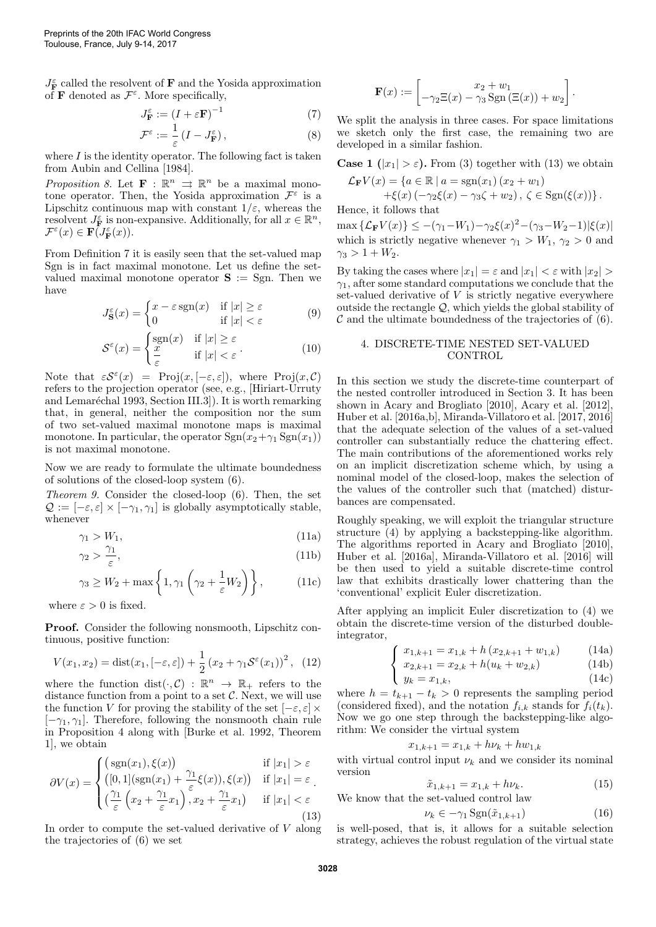$J_{\mathbf{F}}^{\varepsilon}$  called the resolvent of  $\mathbf{F}$  and the Yosida approximation of **F** denoted as  $\mathcal{F}^{\varepsilon}$ . More specifically,

$$
J_{\mathbf{F}}^{\varepsilon} := (I + \varepsilon \mathbf{F})^{-1} \tag{7}
$$

$$
\mathcal{F}^{\varepsilon} := \frac{1}{\varepsilon} \left( I - J_{\mathbf{F}}^{\varepsilon} \right),\tag{8}
$$

where  $I$  is the identity operator. The following fact is taken from Aubin and Cellina [1984].

*Proposition 8.* Let **F** :  $\mathbb{R}^n \implies \mathbb{R}^n$  be a maximal monotone operator. Then, the Yosida approximation  $\mathcal{F}^{\varepsilon}$  is a Lipschitz continuous map with constant  $1/\varepsilon$ , whereas the resolvent  $J_{\mathbf{F}}^{\varepsilon}$  is non-expansive. Additionally, for all  $x \in \mathbb{R}^{n}$ ,  $\mathcal{F}^{\varepsilon}(x) \in \mathbf{F}(\overline{J_{\mathbf{F}}^{\varepsilon}}(x)).$ 

From Definition 7 it is easily seen that the set-valued map Sgn is in fact maximal monotone. Let us define the setvalued maximal monotone operator  $S := Sgn$ . Then we have

$$
J_{\mathbf{S}}^{\varepsilon}(x) = \begin{cases} x - \varepsilon \operatorname{sgn}(x) & \text{if } |x| \ge \varepsilon \\ 0 & \text{if } |x| < \varepsilon \end{cases}
$$
(9)

$$
\mathcal{S}^{\varepsilon}(x) = \begin{cases} \text{sgn}(x) & \text{if } |x| \ge \varepsilon \\ \frac{x}{\varepsilon} & \text{if } |x| < \varepsilon \end{cases} \tag{10}
$$

Note that  $\epsilon S^{\epsilon}(x) = \text{Proj}(x, [-\epsilon, \epsilon]),$  where  $\text{Proj}(x, \mathcal{C})$ refers to the projection operator (see, e.g., [Hiriart-Urruty and Lemaréchal 1993, Section III.3]). It is worth remarking that, in general, neither the composition nor the sum of two set-valued maximal monotone maps is maximal monotone. In particular, the operator  $\text{Sgn}(x_2+\gamma_1 \text{Sgn}(x_1))$ is not maximal monotone.

Now we are ready to formulate the ultimate boundedness of solutions of the closed-loop system (6).

Theorem 9. Consider the closed-loop (6). Then, the set  $\mathcal{Q} := [-\varepsilon, \varepsilon] \times [-\gamma_1, \gamma_1]$  is globally asymptotically stable, whenever

$$
\gamma_1 > W_1,\tag{11a}
$$

$$
\gamma_2 > \frac{\gamma_1}{\varepsilon},\tag{11b}
$$

$$
\gamma_3 \ge W_2 + \max\left\{1, \gamma_1\left(\gamma_2 + \frac{1}{\varepsilon}W_2\right)\right\},\tag{11c}
$$

where  $\varepsilon > 0$  is fixed.

Proof. Consider the following nonsmooth, Lipschitz continuous, positive function:

$$
V(x_1, x_2) = \text{dist}(x_1, [-\varepsilon, \varepsilon]) + \frac{1}{2} (x_2 + \gamma_1 \mathcal{S}^{\varepsilon}(x_1))^2, (12)
$$

where the function  $dist(\cdot, \mathcal{C}) : \mathbb{R}^n \to \mathbb{R}_+$  refers to the distance function from a point to a set  $\mathcal{C}$ . Next, we will use the function V for proving the stability of the set  $[-\varepsilon, \varepsilon] \times$  $[-\gamma_1, \gamma_1]$ . Therefore, following the nonsmooth chain rule in Proposition 4 along with [Burke et al. 1992, Theorem 1], we obtain

$$
\partial V(x) = \begin{cases}\n\left(\operatorname{sgn}(x_1), \xi(x)\right) & \text{if } |x_1| > \varepsilon \\
\left([0, 1](\operatorname{sgn}(x_1) + \frac{\gamma_1}{\varepsilon}\xi(x)), \xi(x)\right) & \text{if } |x_1| = \varepsilon \\
\left(\frac{\gamma_1}{\varepsilon}\left(x_2 + \frac{\gamma_1}{\varepsilon}x_1\right), x_2 + \frac{\gamma_1}{\varepsilon}x_1\right) & \text{if } |x_1| < \varepsilon\n\end{cases} \tag{13}
$$

In order to compute the set-valued derivative of  $V$  along the trajectories of (6) we set

$$
\mathbf{F}(x) := \begin{bmatrix} x_2 + w_1 \\ -\gamma_2 \Xi(x) - \gamma_3 \operatorname{Sgn}(\Xi(x)) + w_2 \end{bmatrix}.
$$

We split the analysis in three cases. For space limitations we sketch only the first case, the remaining two are developed in a similar fashion.

**Case 1** ( $|x_1| > \varepsilon$ ). From (3) together with (13) we obtain

$$
\mathcal{L}_{\mathbf{F}}V(x) = \{a \in \mathbb{R} \mid a = \text{sgn}(x_1) (x_2 + w_1) + \xi(x) (-\gamma_2 \xi(x) - \gamma_3 \zeta + w_2), \zeta \in \text{Sgn}(\xi(x))\}.
$$

Hence, it follows that

 $\max \{ \mathcal{L}_{\mathbf{F}} V(x) \} \le -(\gamma_1 - W_1) - \gamma_2 \xi(x)^2 - (\gamma_3 - W_2 - 1) |\xi(x)|$ which is strictly negative whenever  $\gamma_1 > W_1$ ,  $\gamma_2 > 0$  and  $\gamma_3 > 1 + W_2$ .

By taking the cases where  $|x_1| = \varepsilon$  and  $|x_1| < \varepsilon$  with  $|x_2| > \varepsilon$  $\gamma_1$ , after some standard computations we conclude that the set-valued derivative of  $V$  is strictly negative everywhere outside the rectangle  $Q$ , which yields the global stability of  $\mathcal C$  and the ultimate boundedness of the trajectories of (6).

### 4. DISCRETE-TIME NESTED SET-VALUED **CONTROL**

In this section we study the discrete-time counterpart of the nested controller introduced in Section 3. It has been shown in Acary and Brogliato [2010], Acary et al. [2012], Huber et al. [2016a,b], Miranda-Villatoro et al. [2017, 2016] that the adequate selection of the values of a set-valued controller can substantially reduce the chattering effect. The main contributions of the aforementioned works rely on an implicit discretization scheme which, by using a nominal model of the closed-loop, makes the selection of the values of the controller such that (matched) disturbances are compensated.

Roughly speaking, we will exploit the triangular structure structure (4) by applying a backstepping-like algorithm. The algorithms reported in Acary and Brogliato [2010], Huber et al. [2016a], Miranda-Villatoro et al. [2016] will be then used to yield a suitable discrete-time control law that exhibits drastically lower chattering than the 'conventional' explicit Euler discretization.

After applying an implicit Euler discretization to (4) we obtain the discrete-time version of the disturbed doubleintegrator,

$$
(x_{1,k+1} = x_{1,k} + h(x_{2,k+1} + w_{1,k}) \qquad (14a)
$$

$$
\begin{cases}\nx_{2,k+1} = x_{2,k} + h(u_k + w_{2,k})\n\end{cases} (14b)
$$

$$
(14c)
$$

where  $h = t_{k+1} - t_k > 0$  represents the sampling period (considered fixed), and the notation  $f_{i,k}$  stands for  $f_i(t_k)$ . Now we go one step through the backstepping-like algorithm: We consider the virtual system

$$
x_{1,k+1} = x_{1,k} + h\nu_k + h\nu_{1,k}
$$

with virtual control input  $\nu_k$  and we consider its nominal version

$$
\tilde{x}_{1,k+1} = x_{1,k} + h\nu_k. \tag{15}
$$

We know that the set-valued control law

$$
\nu_k \in -\gamma_1 \operatorname{Sgn}(\tilde{x}_{1,k+1})\tag{16}
$$

is well-posed, that is, it allows for a suitable selection strategy, achieves the robust regulation of the virtual state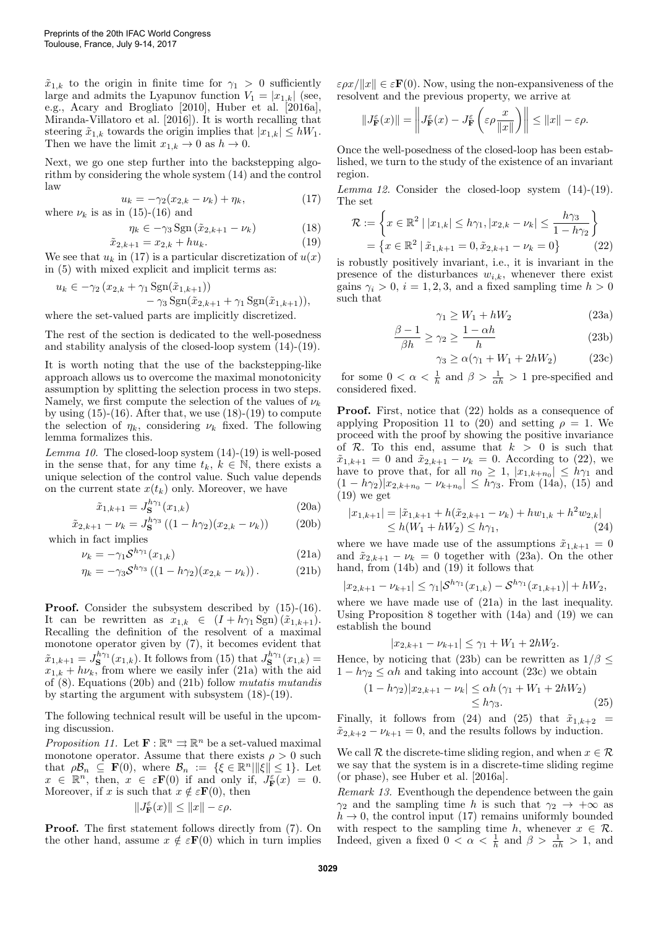$\tilde{x}_{1,k}$  to the origin in finite time for  $\gamma_1 > 0$  sufficiently large and admits the Lyapunov function  $V_1 = |x_{1,k}|$  (see, e.g., Acary and Brogliato [2010], Huber et al. [2016a], Miranda-Villatoro et al. [2016]). It is worth recalling that steering  $\tilde{x}_{1,k}$  towards the origin implies that  $|x_{1,k}| \leq hW_1$ . Then we have the limit  $x_{1,k} \to 0$  as  $h \to 0$ .

Next, we go one step further into the backstepping algorithm by considering the whole system (14) and the control law

$$
u_k = -\gamma_2 (x_{2,k} - \nu_k) + \eta_k, \tag{17}
$$

where  $\nu_k$  is as in (15)-(16) and

$$
\eta_k \in -\gamma_3 \operatorname{Sgn} \left( \tilde{x}_{2,k+1} - \nu_k \right) \tag{18}
$$
\n
$$
\tilde{x}_{2,k+1} = x_{2,k} + hu_k. \tag{19}
$$

We see that 
$$
u_k
$$
 in (17) is a particular discretization of  $u(x)$   
in (5) with mixed explicit and implicit terms as:

$$
u_k \in -\gamma_2 (x_{2,k} + \gamma_1 \operatorname{Sgn}(\tilde{x}_{1,k+1})) - \gamma_3 \operatorname{Sgn}(\tilde{x}_{2,k+1} + \gamma_1 \operatorname{Sgn}(\tilde{x}_{1,k+1})),
$$

where the set-valued parts are implicitly discretized.

The rest of the section is dedicated to the well-posedness and stability analysis of the closed-loop system (14)-(19).

It is worth noting that the use of the backstepping-like approach allows us to overcome the maximal monotonicity assumption by splitting the selection process in two steps. Namely, we first compute the selection of the values of  $\nu_k$ by using  $(15)-(16)$ . After that, we use  $(18)-(19)$  to compute the selection of  $\eta_k$ , considering  $\nu_k$  fixed. The following lemma formalizes this.

Lemma 10. The closed-loop system  $(14)-(19)$  is well-posed in the sense that, for any time  $t_k, k \in \mathbb{N}$ , there exists a unique selection of the control value. Such value depends on the current state  $x(t_k)$  only. Moreover, we have

$$
\tilde{x}_{1,k+1} = J_{\mathbf{S}}^{h\gamma_1}(x_{1,k})
$$
\n(20a)

$$
\tilde{x}_{2,k+1} - \nu_k = J_{\mathbf{S}}^{h\gamma_3} \left( (1 - h\gamma_2)(x_{2,k} - \nu_k) \right) \tag{20b}
$$
\nwhich in fact implies

$$
\nu_k = -\gamma_1 \mathcal{S}^{h\gamma_1}(x_{1,k})\tag{21a}
$$

$$
\eta_k = -\gamma_3 \mathcal{S}^{h\gamma_3} \left( (1 - h\gamma_2)(x_{2,k} - \nu_k) \right). \tag{21b}
$$

Proof. Consider the subsystem described by (15)-(16). It can be rewritten as  $x_{1,k} \in (I + h\gamma_1 \text{Sgn})(\tilde{x}_{1,k+1}).$ Recalling the definition of the resolvent of a maximal monotone operator given by (7), it becomes evident that  $\tilde{x}_{1,k+1} = J_{\mathbf{S}}^{h\gamma_1}(x_{1,k})$ . It follows from (15) that  $J_{\mathbf{S}}^{h\gamma_1}(x_{1,k}) =$  $x_{1,k} + h\nu_k$ , from where we easily infer (21a) with the aid of (8). Equations (20b) and (21b) follow mutatis mutandis by starting the argument with subsystem (18)-(19).

The following technical result will be useful in the upcoming discussion.

Proposition 11. Let  $\mathbf{F} : \mathbb{R}^n \rightrightarrows \mathbb{R}^n$  be a set-valued maximal monotone operator. Assume that there exists  $\rho > 0$  such that  $\rho \mathcal{B}_n \subseteq \mathbf{F}(0)$ , where  $\mathcal{B}_n := \{\xi \in \mathbb{R}^n \vert \Vert \xi \Vert \leq 1\}$ . Let  $x \in \mathbb{R}^n$ , then,  $x \in \varepsilon \mathbf{F}(0)$  if and only if,  $J_{\mathbf{F}}^{\varepsilon}(x) = 0$ . Moreover, if x is such that  $x \notin \varepsilon \mathbf{F}(0)$ , then

$$
\|J_{\mathbf{F}}^{\varepsilon}(x)\|\leq \|x\|-\varepsilon\rho.
$$

Proof. The first statement follows directly from (7). On the other hand, assume  $x \notin \varepsilon \mathbf{F}(0)$  which in turn implies  $\varepsilon \rho x / ||x|| \in \varepsilon \mathbf{F}(0)$ . Now, using the non-expansiveness of the resolvent and the previous property, we arrive at

$$
||J_{\mathbf{F}}^{\varepsilon}(x)|| = \left||J_{\mathbf{F}}^{\varepsilon}(x) - J_{\mathbf{F}}^{\varepsilon}\left(\varepsilon \rho \frac{x}{||x||}\right)\right|| \le ||x|| - \varepsilon \rho.
$$

Once the well-posedness of the closed-loop has been established, we turn to the study of the existence of an invariant region.

Lemma 12. Consider the closed-loop system (14)-(19). The set

$$
\mathcal{R} := \left\{ x \in \mathbb{R}^2 \mid |x_{1,k}| \le h\gamma_1, |x_{2,k} - \nu_k| \le \frac{h\gamma_3}{1 - h\gamma_2} \right\}
$$
  
=  $\left\{ x \in \mathbb{R}^2 \mid \tilde{x}_{1,k+1} = 0, \tilde{x}_{2,k+1} - \nu_k = 0 \right\}$  (22)

is robustly positively invariant, i.e., it is invariant in the presence of the disturbances  $w_{i,k}$ , whenever there exist gains  $\gamma_i > 0$ ,  $i = 1, 2, 3$ , and a fixed sampling time  $h > 0$ such that

$$
\gamma_1 \ge W_1 + hW_2 \tag{23a}
$$

$$
\frac{\beta - 1}{\beta h} \ge \gamma_2 \ge \frac{1 - \alpha h}{h} \tag{23b}
$$

$$
\gamma_3 \ge \alpha(\gamma_1 + W_1 + 2hW_2) \tag{23c}
$$

for some  $0 < \alpha < \frac{1}{h}$  and  $\beta > \frac{1}{\alpha h} > 1$  pre-specified and considered fixed.

Proof. First, notice that (22) holds as a consequence of applying Proposition 11 to (20) and setting  $\rho = 1$ . We proceed with the proof by showing the positive invariance of R. To this end, assume that  $k > 0$  is such that  $\tilde{x}_{1,k+1} = 0$  and  $\tilde{x}_{2,k+1} - \nu_k = 0$ . According to (22), we have to prove that, for all  $n_0 \geq 1$ ,  $|x_{1,k+n_0}| \leq h\gamma_1$  and  $(1-h\gamma_2)|x_{2,k+n_0} - \nu_{k+n_0}| \leq h\gamma_3$ . From (14a), (15) and  $(19)$  we get

$$
|x_{1,k+1}| = |\tilde{x}_{1,k+1} + h(\tilde{x}_{2,k+1} - \nu_k) + hw_{1,k} + h^2 w_{2,k}|
$$
  
\n
$$
\leq h(W_1 + hW_2) \leq h\gamma_1,
$$
\n(24)

where we have made use of the assumptions  $\tilde{x}_{1,k+1} = 0$ and  $\tilde{x}_{2,k+1} - \nu_k = 0$  together with (23a). On the other hand, from (14b) and (19) it follows that

$$
|x_{2,k+1} - \nu_{k+1}| \le \gamma_1 |\mathcal{S}^{h\gamma_1}(x_{1,k}) - \mathcal{S}^{h\gamma_1}(x_{1,k+1})| + hW_2,
$$

where we have made use of (21a) in the last inequality. Using Proposition 8 together with (14a) and (19) we can establish the bound

$$
|x_{2,k+1} - \nu_{k+1}| \leq \gamma_1 + W_1 + 2hW_2.
$$

Hence, by noticing that (23b) can be rewritten as  $1/\beta \leq$  $1 - h\gamma_2 \leq \alpha h$  and taking into account (23c) we obtain

$$
(1 - h\gamma_2)|x_{2,k+1} - \nu_k| \le \alpha h (\gamma_1 + W_1 + 2hW_2)
$$
  
\$\le h\gamma\_3\$. (25)

Finally, it follows from (24) and (25) that  $\tilde{x}_{1,k+2}$  =  $\tilde{x}_{2,k+2} - \nu_{k+1} = 0$ , and the results follows by induction.

We call R the discrete-time sliding region, and when  $x \in \mathcal{R}$ we say that the system is in a discrete-time sliding regime (or phase), see Huber et al. [2016a].

Remark 13. Eventhough the dependence between the gain  $\gamma_2$  and the sampling time h is such that  $\gamma_2 \rightarrow +\infty$  as  $h \to 0$ , the control input (17) remains uniformly bounded with respect to the sampling time h, whenever  $x \in \mathcal{R}$ . Indeed, given a fixed  $0 < \alpha < \frac{1}{h}$  and  $\beta > \frac{1}{\alpha h} > 1$ , and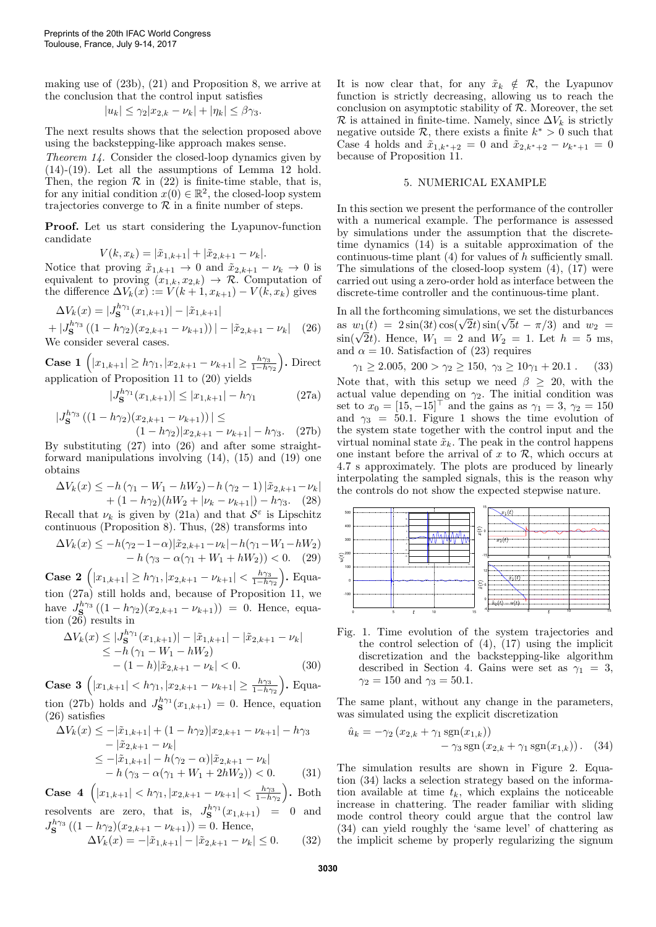making use of (23b), (21) and Proposition 8, we arrive at the conclusion that the control input satisfies

$$
|u_k| \leq \gamma_2 |x_{2,k} - \nu_k| + |\eta_k| \leq \beta \gamma_3.
$$

The next results shows that the selection proposed above using the backstepping-like approach makes sense.

Theorem 14. Consider the closed-loop dynamics given by (14)-(19). Let all the assumptions of Lemma 12 hold. Then, the region  $\mathcal R$  in (22) is finite-time stable, that is, for any initial condition  $x(0) \in \mathbb{R}^2$ , the closed-loop system trajectories converge to  $\mathcal R$  in a finite number of steps.

Proof. Let us start considering the Lyapunov-function candidate

$$
V(k, x_k) = |\tilde{x}_{1,k+1}| + |\tilde{x}_{2,k+1} - \nu_k|.
$$

Notice that proving  $\tilde{x}_{1,k+1} \to 0$  and  $\tilde{x}_{2,k+1} - \nu_k \to 0$  is equivalent to proving  $(x_{1,k}, x_{2,k}) \rightarrow \mathcal{R}$ . Computation of the difference  $\Delta V_k(x) := V(k+1, x_{k+1}) - V(k, x_k)$  gives

$$
\Delta V_k(x) = |J_{\mathbf{S}}^{h\gamma_1}(x_{1,k+1})| - |\tilde{x}_{1,k+1}|
$$
  
+  $|J_{\mathbf{S}}^{h\gamma_3}((1 - h\gamma_2)(x_{2,k+1} - \nu_{k+1}))| - |\tilde{x}_{2,k+1} - \nu_k|$  (26)  
We consider several cases.

**Case 1**  $(|x_{1,k+1}| \ge h\gamma_1, |x_{2,k+1} - \nu_{k+1}| \ge \frac{h\gamma_3}{1-h\gamma_2}$ . Direct application of Proposition 11 to (20) yields

$$
|J_{\mathbf{S}}^{h\gamma_1}(x_{1,k+1})| \le |x_{1,k+1}| - h\gamma_1 \tag{27a}
$$

$$
|J_{\mathbf{S}}^{h\gamma_3} ((1 - h\gamma_2)(x_{2,k+1} - \nu_{k+1}))| \le
$$
  

$$
(1 - h\gamma_2)|x_{2,k+1} - \nu_{k+1}| - h\gamma_3.
$$
 (27b)

By substituting (27) into (26) and after some straightforward manipulations involving (14), (15) and (19) one obtains

$$
\Delta V_k(x) \le -h(\gamma_1 - W_1 - hW_2) - h(\gamma_2 - 1) |\tilde{x}_{2,k+1} - \nu_k|
$$
  
+ 
$$
(1 - h\gamma_2)(hW_2 + |\nu_k - \nu_{k+1}|) - h\gamma_3.
$$
 (28)

Recall that  $\nu_k$  is given by (21a) and that  $S^{\varepsilon}$  is Lipschitz continuous (Proposition 8). Thus, (28) transforms into

$$
\Delta V_k(x) \le -h(\gamma_2 - 1 - \alpha)|\tilde{x}_{2,k+1} - \nu_k| - h(\gamma_1 - W_1 - hW_2) - h(\gamma_3 - \alpha(\gamma_1 + W_1 + hW_2)) < 0. \quad (29)
$$

**Case 2**  $(|x_{1,k+1}| \ge h\gamma_1, |x_{2,k+1} - \nu_{k+1}| < \frac{h\gamma_3}{1-h\gamma_2}$ . Equation (27a) still holds and, because of Proposition 11, we have  $J_{\mathbf{S}}^{h\gamma_3}((1-h\gamma_2)(x_{2,k+1}-\nu_{k+1})) = 0$ . Hence, equation (26) results in

$$
\Delta V_k(x) \le |J_{\mathbf{S}}^{h\gamma_1}(x_{1,k+1})| - |\tilde{x}_{1,k+1}| - |\tilde{x}_{2,k+1} - \nu_k|
$$
  
\n
$$
\le -h(\gamma_1 - W_1 - hW_2)
$$
  
\n
$$
-(1-h)|\tilde{x}_{2,k+1} - \nu_k| < 0.
$$
 (30)

**Case 3**  $(|x_{1,k+1}| < h\gamma_1, |x_{2,k+1} - \nu_{k+1}| \ge \frac{h\gamma_3}{1-h\gamma_2}$ . Equation (27b) holds and  $J_{\mathbf{S}}^{h\gamma_1}(x_{1,k+1})=0$ . Hence, equation (26) satisfies

$$
\Delta V_k(x) \le -|\tilde{x}_{1,k+1}| + (1 - h\gamma_2)|x_{2,k+1} - \nu_{k+1}| - h\gamma_3 \n- |\tilde{x}_{2,k+1} - \nu_k| \n\le -|\tilde{x}_{1,k+1}| - h(\gamma_2 - \alpha)|\tilde{x}_{2,k+1} - \nu_k| \n- h(\gamma_3 - \alpha(\gamma_1 + W_1 + 2hW_2)) < 0.
$$
\n(31)

Case 4  $(|x_{1,k+1}| < h\gamma_1, |x_{2,k+1} - \nu_{k+1}| < \frac{h\gamma_3}{1-h\gamma_2}$ . Both resolvents are zero, that is,  $J_{\mathbf{S}}^{h\gamma_1}(x_{1,k+1}) = 0$  and  $J_{\mathbf{S}}^{h\gamma_3}((1-h\gamma_2)(x_{2,k+1}-\nu_{k+1}))=0.$  Hence,

$$
\Delta V_k(x) = -|\tilde{x}_{1,k+1}| - |\tilde{x}_{2,k+1} - \nu_k| \le 0. \tag{32}
$$

It is now clear that, for any  $\tilde{x}_k \notin \mathcal{R}$ , the Lyapunov function is strictly decreasing, allowing us to reach the conclusion on asymptotic stability of  $\mathcal{R}$ . Moreover, the set R is attained in finite-time. Namely, since  $\Delta V_k$  is strictly negative outside  $\mathcal{R}$ , there exists a finite  $k^* > 0$  such that Case 4 holds and  $\tilde{x}_{1,k^*+2} = 0$  and  $\tilde{x}_{2,k^*+2} - \nu_{k^*+1} = 0$ because of Proposition 11.

#### 5. NUMERICAL EXAMPLE

In this section we present the performance of the controller with a numerical example. The performance is assessed by simulations under the assumption that the discretetime dynamics (14) is a suitable approximation of the continuous-time plant  $(4)$  for values of h sufficiently small. The simulations of the closed-loop system (4), (17) were carried out using a zero-order hold as interface between the discrete-time controller and the continuous-time plant.

In all the forthcoming simulations, we set the disturbances in all the forthcoming simulations, we set the disturbances<br>as  $w_1(t) = 2\sin(3t)\cos(\sqrt{2}t)\sin(\sqrt{5}t - \pi/3)$  and  $w_2 =$ as  $w_1(t) = 2 \sin(\omega t) \cos(\sqrt{2t}) \sin(\sqrt{\omega t} - \pi/3)$  and  $w_2 = \sin(\sqrt{2t})$ . Hence,  $W_1 = 2$  and  $W_2 = 1$ . Let  $h = 5$  ms, and  $\alpha = 10$ . Satisfaction of (23) requires

 $\gamma_1 \ge 2.005$ ,  $200 > \gamma_2 \ge 150$ ,  $\gamma_3 \ge 10\gamma_1 + 20.1$ . (33) Note that, with this setup we need  $\beta \geq 20$ , with the actual value depending on  $\gamma_2$ . The initial condition was set to  $x_0 = \begin{bmatrix} 15 \\ -15 \end{bmatrix}^\top$  and the gains as  $\gamma_1 = 3$ ,  $\gamma_2 = 150$ and  $\gamma_3 = 50.1$ . Figure 1 shows the time evolution of the system state together with the control input and the virtual nominal state  $\tilde{x}_k$ . The peak in the control happens one instant before the arrival of  $x$  to  $\mathcal{R}$ , which occurs at 4.7 s approximately. The plots are produced by linearly interpolating the sampled signals, this is the reason why the controls do not show the expected stepwise nature.



Fig. 1. Time evolution of the system trajectories and the control selection of (4), (17) using the implicit discretization and the backstepping-like algorithm described in Section 4. Gains were set as  $\gamma_1 = 3$ ,  $\gamma_2 = 150$  and  $\gamma_3 = 50.1$ .

The same plant, without any change in the parameters, was simulated using the explicit discretization

$$
\hat{u}_k = -\gamma_2 (x_{2,k} + \gamma_1 \text{sgn}(x_{1,k})) - \gamma_3 \text{sgn}(x_{2,k} + \gamma_1 \text{sgn}(x_{1,k})). \quad (34)
$$

The simulation results are shown in Figure 2. Equation (34) lacks a selection strategy based on the information available at time  $t_k$ , which explains the noticeable increase in chattering. The reader familiar with sliding mode control theory could argue that the control law (34) can yield roughly the 'same level' of chattering as the implicit scheme by properly regularizing the signum